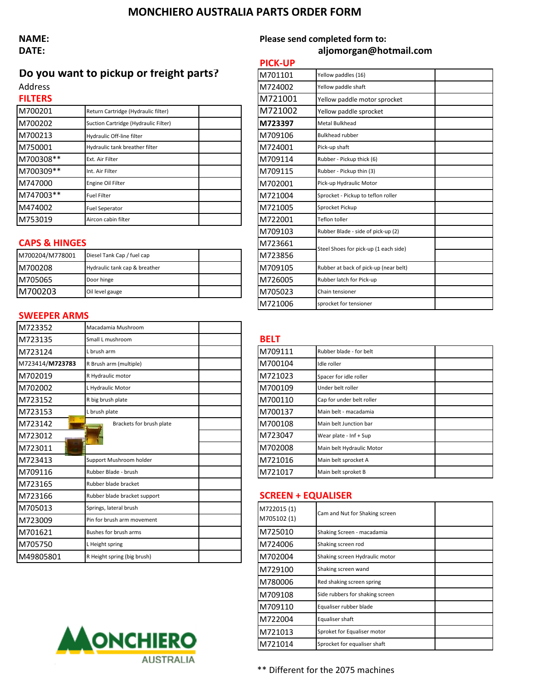## **MONCHIERO AUSTRALIA PARTS ORDER FORM**

# **NAME: Please send completed form to:**

## **DATE: aljomorgan@hotmail.com**

# **Do you want to pickup or freight parts?**

| FILIENS   |                                      | <b>IVI</b> /ZIUUI | Yellow paddle motor sprock         |
|-----------|--------------------------------------|-------------------|------------------------------------|
| M700201   | Return Cartridge (Hydraulic filter)  | M721002           | Yellow paddle sprocket             |
| M700202   | Suction Cartridge (Hydraulic Filter) | M723397           | Metal Bulkhead                     |
| M700213   | Hydraulic Off-line filter            | M709106           | <b>Bulkhead rubber</b>             |
| M750001   | Hydraulic tank breather filter       | M724001           | Pick-up shaft                      |
| M700308** | Ext. Air Filter                      | M709114           | Rubber - Pickup thick (6)          |
| M700309** | Int. Air Filter                      | M709115           | Rubber - Pickup thin (3)           |
| M747000   | Engine Oil Filter                    | M702001           | Pick-up Hydraulic Motor            |
| M747003** | <b>Fuel Filter</b>                   | M721004           | Sprocket - Pickup to teflon roller |
| M474002   | <b>Fuel Seperator</b>                | M721005           | Sprocket Pickup                    |
| M753019   | Aircon cabin filter                  | M722001           | <b>Teflon toller</b>               |

### **CAPS & HINGES**

|                 |                               |  |          | Steel Shoes for pick-up (1 each side) |
|-----------------|-------------------------------|--|----------|---------------------------------------|
| M700204/M778001 | Diesel Tank Cap / fuel cap    |  | M723856  |                                       |
| IM700208        | Hydraulic tank cap & breather |  | IM709105 | Rubber at back of pick-up (near belt) |
| IM705065        | Door hinge                    |  | IM726005 | Rubber latch for Pick-up              |
| IM700203        | Oil level gauge               |  | IM705023 | Chain tensioner                       |

### **SWEEPER ARMS**

| M723352         | Macadamia Mushroom           |             |                                |
|-----------------|------------------------------|-------------|--------------------------------|
| M723135         | Small L mushroom             | <b>BELT</b> |                                |
| M723124         | L brush arm                  | M709111     | Rubber blade - for belt        |
| M723414/M723783 | R Brush arm (multiple)       | M700104     | Idle roller                    |
| M702019         | R Hydraulic motor            | M721023     | Spacer for idle roller         |
| M702002         | L Hydraulic Motor            | M700109     | Under belt roller              |
| M723152         | R big brush plate            | M700110     | Cap for under belt roller      |
| M723153         | L brush plate                | M700137     | Main belt - macadamia          |
| M723142         | Brackets for brush plate     | M700108     | Main belt Junction bar         |
| M723012         |                              | M723047     | Wear plate - Inf + Sup         |
| M723011         |                              | M702008     | Main belt Hydraulic Motor      |
| M723413         | Support Mushroom holder      | M721016     | Main belt sprocket A           |
| M709116         | Rubber Blade - brush         | M721017     | Main belt sproket B            |
| M723165         | Rubber blade bracket         |             |                                |
| M723166         | Rubber blade bracket support |             | <b>SCREEN + EQUALISER</b>      |
| M705013         | Springs, lateral brush       | M722015 (1) | Cam and Nut for Shaking screen |
| M723009         | Pin for brush arm movement   | M705102 (1) |                                |
| M701621         | Bushes for brush arms        | M725010     | Shaking Screen - macadamia     |
| M705750         | L Height spring              | M724006     | Shaking screen rod             |
| M49805801       | R Height spring (big brush)  | M702004     | Shaking screen Hydraulic motor |
|                 |                              |             |                                |



|                          |                                         | <b>PICK-UP</b> |                                       |  |
|--------------------------|-----------------------------------------|----------------|---------------------------------------|--|
|                          | Do you want to pickup or freight parts? | M701101        | Yellow paddles (16)                   |  |
| Address                  |                                         | M724002        | Yellow paddle shaft                   |  |
| <b>FILTERS</b>           |                                         | M721001        | Yellow paddle motor sprocket          |  |
| M700201                  | Return Cartridge (Hydraulic filter)     | M721002        | Yellow paddle sprocket                |  |
| M700202                  | Suction Cartridge (Hydraulic Filter)    | M723397        | <b>Metal Bulkhead</b>                 |  |
| M700213                  | Hydraulic Off-line filter               | M709106        | <b>Bulkhead rubber</b>                |  |
| M750001                  | Hydraulic tank breather filter          | M724001        | Pick-up shaft                         |  |
| M700308**                | Ext. Air Filter                         | M709114        | Rubber - Pickup thick (6)             |  |
| M700309**                | Int. Air Filter                         | M709115        | Rubber - Pickup thin (3)              |  |
| M747000                  | Engine Oil Filter                       | M702001        | Pick-up Hydraulic Motor               |  |
| M747003**                | <b>Fuel Filter</b>                      | M721004        | Sprocket - Pickup to teflon roller    |  |
| M474002                  | <b>Fuel Seperator</b>                   | M721005        | Sprocket Pickup                       |  |
| M753019                  | Aircon cabin filter                     | M722001        | Teflon toller                         |  |
|                          |                                         | M709103        | Rubber Blade - side of pick-up (2)    |  |
| <b>CAPS &amp; HINGES</b> |                                         | M723661        | Steel Shoes for pick-up (1 each side) |  |
| M700204/M778001          | Diesel Tank Cap / fuel cap              | M723856        |                                       |  |
| M700208                  | Hydraulic tank cap & breather           | M709105        | Rubber at back of pick-up (near belt) |  |
| M705065                  | Door hinge                              | M726005        | Rubber latch for Pick-up              |  |
| M700203                  | Oil level gauge                         | M705023        | Chain tensioner                       |  |
|                          |                                         | M721006        | sprocket for tensioner                |  |

| M709111 | Rubber blade - for belt   |  |
|---------|---------------------------|--|
| M700104 | Idle roller               |  |
| M721023 | Spacer for idle roller    |  |
| M700109 | Under belt roller         |  |
| M700110 | Cap for under belt roller |  |
| M700137 | Main belt - macadamia     |  |
| M700108 | Main belt Junction bar    |  |
| M723047 | Wear plate - Inf + Sup    |  |
| M702008 | Main belt Hydraulic Motor |  |
| M721016 | Main belt sprocket A      |  |
| M721017 | Main belt sproket B       |  |

## M723166 Rubber blade bracket support **SCREEN + EQUALISER**

| M722015 (1)<br>M705102 (1) | Cam and Nut for Shaking screen  |  |
|----------------------------|---------------------------------|--|
| M725010                    | Shaking Screen - macadamia      |  |
| M724006                    | Shaking screen rod              |  |
| M702004                    | Shaking screen Hydraulic motor  |  |
| M729100                    | Shaking screen wand             |  |
| M780006                    | Red shaking screen spring       |  |
| M709108                    | Side rubbers for shaking screen |  |
| M709110                    | Equaliser rubber blade          |  |
| M722004                    | Equaliser shaft                 |  |
| M721013                    | Sproket for Equaliser motor     |  |
| M721014                    | Sprocket for equaliser shaft    |  |

\*\* Different for the 2075 machines